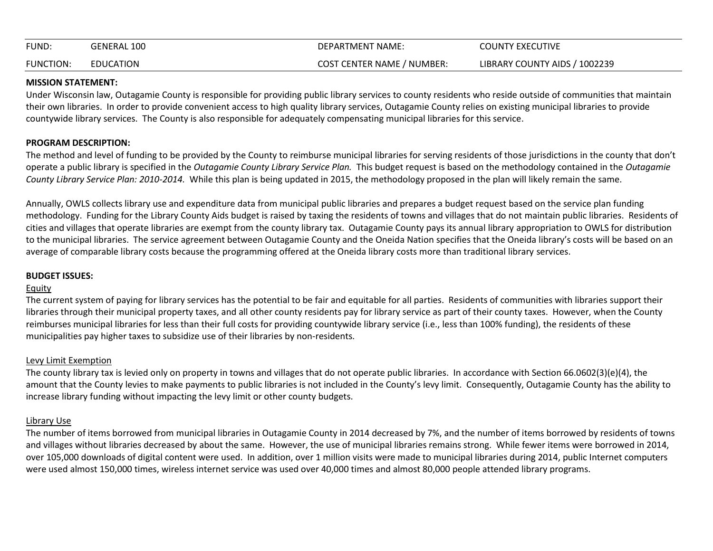| FUND:            | <b>GENERAL 100</b> | DEPARTMENT NAME:                  | <b>COUNTY EXECUTIVE</b>       |
|------------------|--------------------|-----------------------------------|-------------------------------|
| <b>FUNCTION:</b> | EDUCATION          | <b>COST CENTER NAME / NUMBER:</b> | LIBRARY COUNTY AIDS / 1002239 |

#### **MISSION STATEMENT:**

Under Wisconsin law, Outagamie County is responsible for providing public library services to county residents who reside outside of communities that maintain their own libraries. In order to provide convenient access to high quality library services, Outagamie County relies on existing municipal libraries to provide countywide library services. The County is also responsible for adequately compensating municipal libraries for this service.

## **PROGRAM DESCRIPTION:**

The method and level of funding to be provided by the County to reimburse municipal libraries for serving residents of those jurisdictions in the county that don't operate a public library is specified in the *Outagamie County Library Service Plan.* This budget request is based on the methodology contained in the *Outagamie County Library Service Plan: 2010-2014.* While this plan is being updated in 2015, the methodology proposed in the plan will likely remain the same.

Annually, OWLS collects library use and expenditure data from municipal public libraries and prepares a budget request based on the service plan funding methodology. Funding for the Library County Aids budget is raised by taxing the residents of towns and villages that do not maintain public libraries. Residents of cities and villages that operate libraries are exempt from the county library tax. Outagamie County pays its annual library appropriation to OWLS for distribution to the municipal libraries. The service agreement between Outagamie County and the Oneida Nation specifies that the Oneida library's costs will be based on an average of comparable library costs because the programming offered at the Oneida library costs more than traditional library services.

### **BUDGET ISSUES:**

### Equity

The current system of paying for library services has the potential to be fair and equitable for all parties. Residents of communities with libraries support their libraries through their municipal property taxes, and all other county residents pay for library service as part of their county taxes. However, when the County reimburses municipal libraries for less than their full costs for providing countywide library service (i.e., less than 100% funding), the residents of these municipalities pay higher taxes to subsidize use of their libraries by non-residents.

### Levy Limit Exemption

The county library tax is levied only on property in towns and villages that do not operate public libraries. In accordance with Section 66.0602(3)(e)(4), the amount that the County levies to make payments to public libraries is not included in the County's levy limit. Consequently, Outagamie County has the ability to increase library funding without impacting the levy limit or other county budgets.

# Library Use

The number of items borrowed from municipal libraries in Outagamie County in 2014 decreased by 7%, and the number of items borrowed by residents of towns and villages without libraries decreased by about the same. However, the use of municipal libraries remains strong. While fewer items were borrowed in 2014, over 105,000 downloads of digital content were used. In addition, over 1 million visits were made to municipal libraries during 2014, public Internet computers were used almost 150,000 times, wireless internet service was used over 40,000 times and almost 80,000 people attended library programs.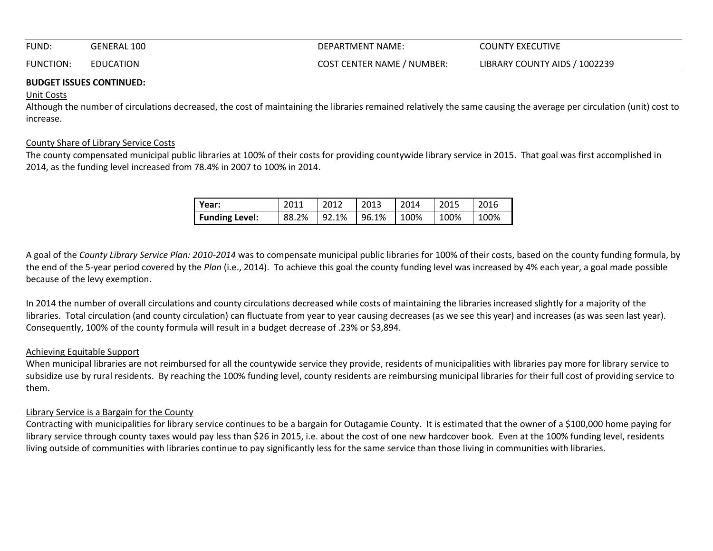| FUND:            | <b>GENERAL 100</b> | DEPARTMENT NAME:                  | <b>COUNTY EXECUTIVE</b>       |
|------------------|--------------------|-----------------------------------|-------------------------------|
| <b>FUNCTION:</b> | EDUCATION          | <b>COST CENTER NAME / NUMBER:</b> | LIBRARY COUNTY AIDS / 1002239 |

#### **BUDGET ISSUES CONTINUED:**

#### Unit Costs

Although the number of circulations decreased, the cost of maintaining the libraries remained relatively the same causing the average per circulation (unit) cost to increase.

### County Share of Library Service Costs

The county compensated municipal public libraries at 100% of their costs for providing countywide library service in 2015. That goal was first accomplished in 2014, as the funding level increased from 78.4% in 2007 to 100% in 2014.

| l Year:               | 2011  | 2012  | 2013       | 2014 | $\mid$ 2015 | 2016     |
|-----------------------|-------|-------|------------|------|-------------|----------|
| <b>Funding Level:</b> | 88.2% | 92.1% | 96.1% 100% |      | $100\%$     | $ 100\%$ |

A goal of the *County Library Service Plan: 2010-2014* was to compensate municipal public libraries for 100% of their costs, based on the county funding formula, by the end of the 5-year period covered by the *Plan* (i.e., 2014). To achieve this goal the county funding level was increased by 4% each year, a goal made possible because of the levy exemption.

In 2014 the number of overall circulations and county circulations decreased while costs of maintaining the libraries increased slightly for a majority of the libraries. Total circulation (and county circulation) can fluctuate from year to year causing decreases (as we see this year) and increases (as was seen last year). Consequently, 100% of the county formula will result in a budget decrease of .23% or \$3,894.

# Achieving Equitable Support

When municipal libraries are not reimbursed for all the countywide service they provide, residents of municipalities with libraries pay more for library service to subsidize use by rural residents. By reaching the 100% funding level, county residents are reimbursing municipal libraries for their full cost of providing service to them.

### Library Service is a Bargain for the County

Contracting with municipalities for library service continues to be a bargain for Outagamie County. It is estimated that the owner of a \$100,000 home paying for library service through county taxes would pay less than \$26 in 2015, i.e. about the cost of one new hardcover book. Even at the 100% funding level, residents living outside of communities with libraries continue to pay significantly less for the same service than those living in communities with libraries.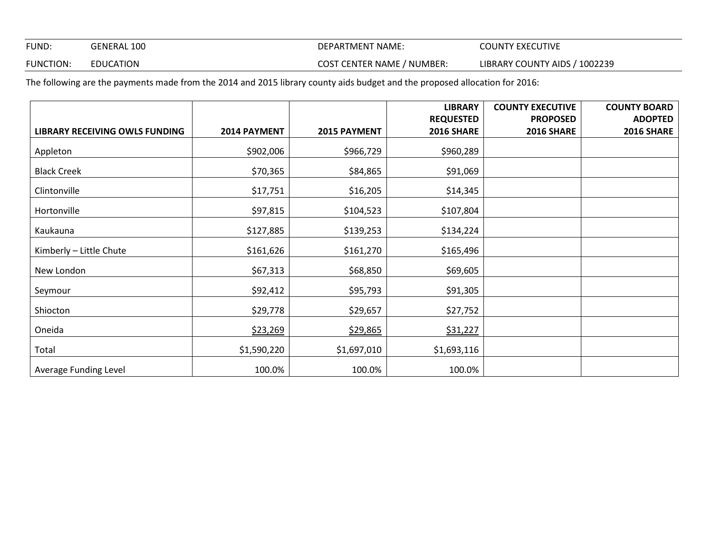FUND: GENERAL 100 GENERAL 100 DEPARTMENT NAME: COUNTY EXECUTIVE

FUNCTION: EDUCATION **EXECUTER SOLUTER SERVICE COST CENTER NAME** / NUMBER: LIBRARY COUNTY AIDS / 1002239

The following are the payments made from the 2014 and 2015 library county aids budget and the proposed allocation for 2016:

|                                       |              |              | <b>LIBRARY</b>   | <b>COUNTY EXECUTIVE</b> | <b>COUNTY BOARD</b> |
|---------------------------------------|--------------|--------------|------------------|-------------------------|---------------------|
|                                       |              |              | <b>REQUESTED</b> | <b>PROPOSED</b>         | <b>ADOPTED</b>      |
| <b>LIBRARY RECEIVING OWLS FUNDING</b> | 2014 PAYMENT | 2015 PAYMENT | 2016 SHARE       | <b>2016 SHARE</b>       | <b>2016 SHARE</b>   |
| Appleton                              | \$902,006    | \$966,729    | \$960,289        |                         |                     |
| <b>Black Creek</b>                    | \$70,365     | \$84,865     | \$91,069         |                         |                     |
| Clintonville                          | \$17,751     | \$16,205     | \$14,345         |                         |                     |
| Hortonville                           | \$97,815     | \$104,523    | \$107,804        |                         |                     |
| Kaukauna                              | \$127,885    | \$139,253    | \$134,224        |                         |                     |
| Kimberly - Little Chute               | \$161,626    | \$161,270    | \$165,496        |                         |                     |
| New London                            | \$67,313     | \$68,850     | \$69,605         |                         |                     |
| Seymour                               | \$92,412     | \$95,793     | \$91,305         |                         |                     |
| Shiocton                              | \$29,778     | \$29,657     | \$27,752         |                         |                     |
| Oneida                                | \$23,269     | \$29,865     | \$31,227         |                         |                     |
| Total                                 | \$1,590,220  | \$1,697,010  | \$1,693,116      |                         |                     |
| Average Funding Level                 | 100.0%       | 100.0%       | 100.0%           |                         |                     |